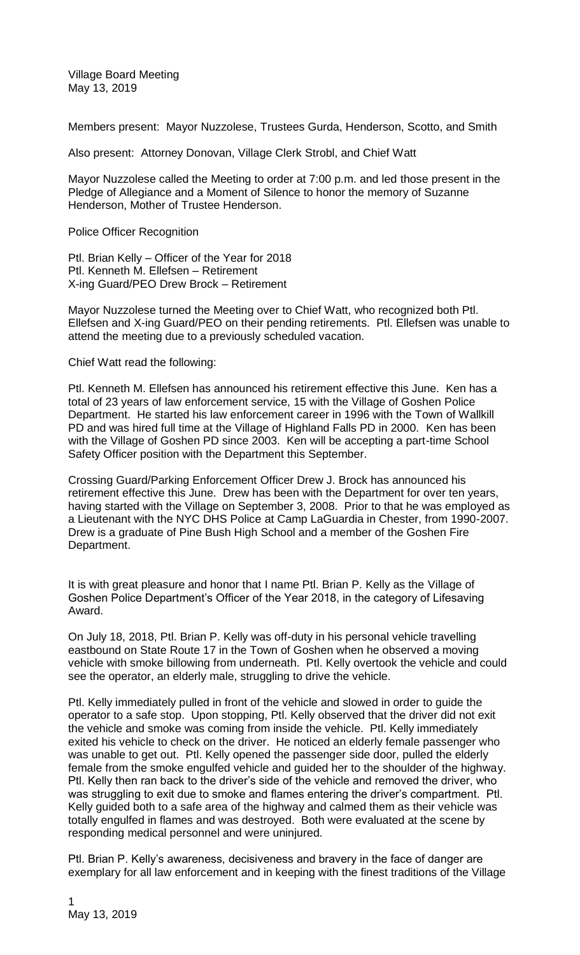Village Board Meeting May 13, 2019

Members present: Mayor Nuzzolese, Trustees Gurda, Henderson, Scotto, and Smith

Also present: Attorney Donovan, Village Clerk Strobl, and Chief Watt

Mayor Nuzzolese called the Meeting to order at 7:00 p.m. and led those present in the Pledge of Allegiance and a Moment of Silence to honor the memory of Suzanne Henderson, Mother of Trustee Henderson.

Police Officer Recognition

Ptl. Brian Kelly – Officer of the Year for 2018 Ptl. Kenneth M. Ellefsen – Retirement X-ing Guard/PEO Drew Brock – Retirement

Mayor Nuzzolese turned the Meeting over to Chief Watt, who recognized both Ptl. Ellefsen and X-ing Guard/PEO on their pending retirements. Ptl. Ellefsen was unable to attend the meeting due to a previously scheduled vacation.

Chief Watt read the following:

Ptl. Kenneth M. Ellefsen has announced his retirement effective this June. Ken has a total of 23 years of law enforcement service, 15 with the Village of Goshen Police Department. He started his law enforcement career in 1996 with the Town of Wallkill PD and was hired full time at the Village of Highland Falls PD in 2000. Ken has been with the Village of Goshen PD since 2003. Ken will be accepting a part-time School Safety Officer position with the Department this September.

Crossing Guard/Parking Enforcement Officer Drew J. Brock has announced his retirement effective this June. Drew has been with the Department for over ten years, having started with the Village on September 3, 2008. Prior to that he was employed as a Lieutenant with the NYC DHS Police at Camp LaGuardia in Chester, from 1990-2007. Drew is a graduate of Pine Bush High School and a member of the Goshen Fire Department.

It is with great pleasure and honor that I name Ptl. Brian P. Kelly as the Village of Goshen Police Department's Officer of the Year 2018, in the category of Lifesaving Award.

On July 18, 2018, Ptl. Brian P. Kelly was off-duty in his personal vehicle travelling eastbound on State Route 17 in the Town of Goshen when he observed a moving vehicle with smoke billowing from underneath. Ptl. Kelly overtook the vehicle and could see the operator, an elderly male, struggling to drive the vehicle.

Ptl. Kelly immediately pulled in front of the vehicle and slowed in order to guide the operator to a safe stop. Upon stopping, Ptl. Kelly observed that the driver did not exit the vehicle and smoke was coming from inside the vehicle. Ptl. Kelly immediately exited his vehicle to check on the driver. He noticed an elderly female passenger who was unable to get out. Ptl. Kelly opened the passenger side door, pulled the elderly female from the smoke engulfed vehicle and guided her to the shoulder of the highway. Ptl. Kelly then ran back to the driver's side of the vehicle and removed the driver, who was struggling to exit due to smoke and flames entering the driver's compartment. Ptl. Kelly guided both to a safe area of the highway and calmed them as their vehicle was totally engulfed in flames and was destroyed. Both were evaluated at the scene by responding medical personnel and were uninjured.

Ptl. Brian P. Kelly's awareness, decisiveness and bravery in the face of danger are exemplary for all law enforcement and in keeping with the finest traditions of the Village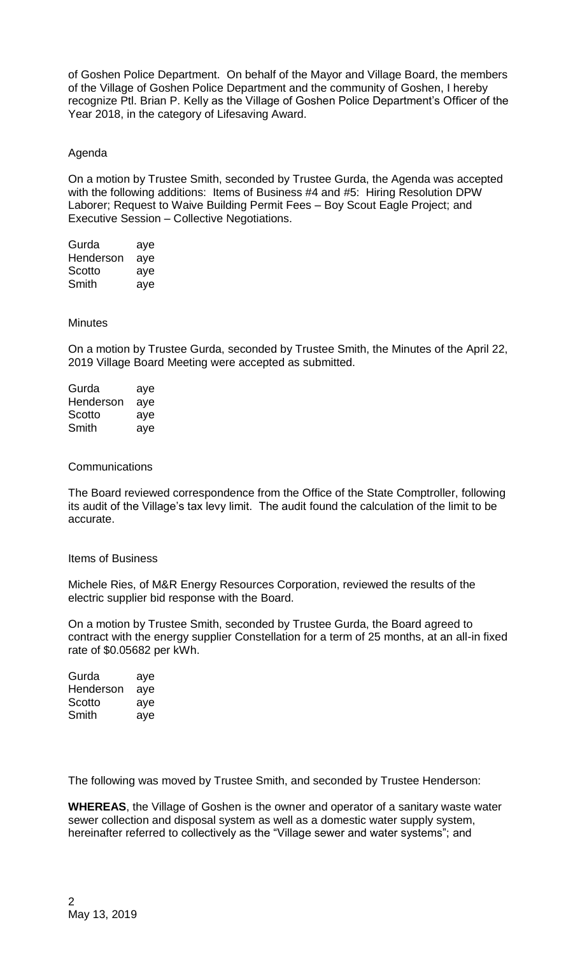of Goshen Police Department. On behalf of the Mayor and Village Board, the members of the Village of Goshen Police Department and the community of Goshen, I hereby recognize Ptl. Brian P. Kelly as the Village of Goshen Police Department's Officer of the Year 2018, in the category of Lifesaving Award.

# Agenda

On a motion by Trustee Smith, seconded by Trustee Gurda, the Agenda was accepted with the following additions: Items of Business #4 and #5: Hiring Resolution DPW Laborer; Request to Waive Building Permit Fees – Boy Scout Eagle Project; and Executive Session – Collective Negotiations.

| Gurda     | aye |
|-----------|-----|
| Henderson | aye |
| Scotto    | aye |
| Smith     | aye |

## **Minutes**

On a motion by Trustee Gurda, seconded by Trustee Smith, the Minutes of the April 22, 2019 Village Board Meeting were accepted as submitted.

| Gurda     | aye |
|-----------|-----|
| Henderson | aye |
| Scotto    | aye |
| Smith     | aye |

### **Communications**

The Board reviewed correspondence from the Office of the State Comptroller, following its audit of the Village's tax levy limit. The audit found the calculation of the limit to be accurate.

## Items of Business

Michele Ries, of M&R Energy Resources Corporation, reviewed the results of the electric supplier bid response with the Board.

On a motion by Trustee Smith, seconded by Trustee Gurda, the Board agreed to contract with the energy supplier Constellation for a term of 25 months, at an all-in fixed rate of \$0.05682 per kWh.

| Gurda     | aye |
|-----------|-----|
| Henderson | aye |
| Scotto    | aye |
| Smith     | aye |

The following was moved by Trustee Smith, and seconded by Trustee Henderson:

**WHEREAS**, the Village of Goshen is the owner and operator of a sanitary waste water sewer collection and disposal system as well as a domestic water supply system, hereinafter referred to collectively as the "Village sewer and water systems"; and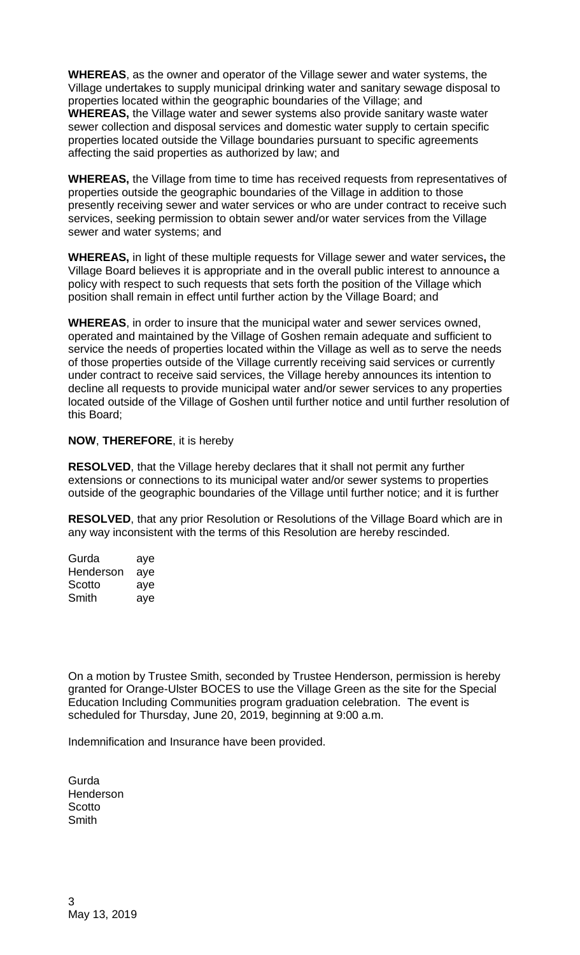**WHEREAS**, as the owner and operator of the Village sewer and water systems, the Village undertakes to supply municipal drinking water and sanitary sewage disposal to properties located within the geographic boundaries of the Village; and **WHEREAS,** the Village water and sewer systems also provide sanitary waste water sewer collection and disposal services and domestic water supply to certain specific properties located outside the Village boundaries pursuant to specific agreements affecting the said properties as authorized by law; and

**WHEREAS,** the Village from time to time has received requests from representatives of properties outside the geographic boundaries of the Village in addition to those presently receiving sewer and water services or who are under contract to receive such services, seeking permission to obtain sewer and/or water services from the Village sewer and water systems; and

**WHEREAS,** in light of these multiple requests for Village sewer and water services**,** the Village Board believes it is appropriate and in the overall public interest to announce a policy with respect to such requests that sets forth the position of the Village which position shall remain in effect until further action by the Village Board; and

**WHEREAS**, in order to insure that the municipal water and sewer services owned, operated and maintained by the Village of Goshen remain adequate and sufficient to service the needs of properties located within the Village as well as to serve the needs of those properties outside of the Village currently receiving said services or currently under contract to receive said services, the Village hereby announces its intention to decline all requests to provide municipal water and/or sewer services to any properties located outside of the Village of Goshen until further notice and until further resolution of this Board;

# **NOW**, **THEREFORE**, it is hereby

**RESOLVED**, that the Village hereby declares that it shall not permit any further extensions or connections to its municipal water and/or sewer systems to properties outside of the geographic boundaries of the Village until further notice; and it is further

**RESOLVED**, that any prior Resolution or Resolutions of the Village Board which are in any way inconsistent with the terms of this Resolution are hereby rescinded.

| Gurda     | aye |
|-----------|-----|
| Henderson | aye |
| Scotto    | aye |
| Smith     | aye |

On a motion by Trustee Smith, seconded by Trustee Henderson, permission is hereby granted for Orange-Ulster BOCES to use the Village Green as the site for the Special Education Including Communities program graduation celebration. The event is scheduled for Thursday, June 20, 2019, beginning at 9:00 a.m.

Indemnification and Insurance have been provided.

**Gurda Henderson Scotto Smith**